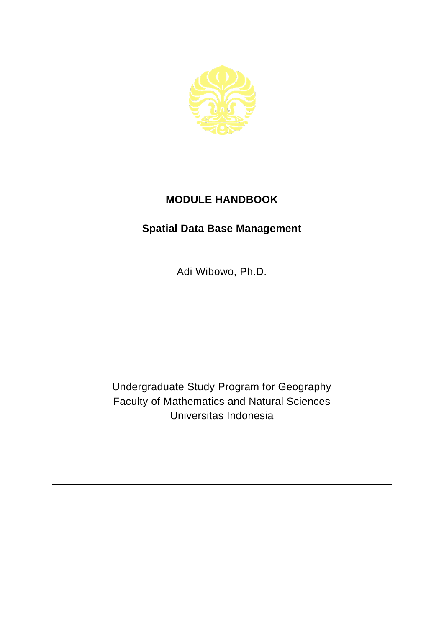

## **MODULE HANDBOOK**

## **Spatial Data Base Management**

Adi Wibowo, Ph.D.

Undergraduate Study Program for Geography Faculty of Mathematics and Natural Sciences Universitas Indonesia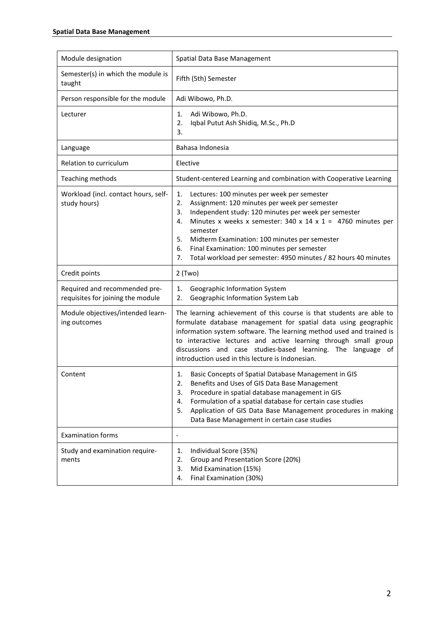| Module designation                                                 | Spatial Data Base Management                                                                                                                                                                                                                                                                                                                                                                                                                 |
|--------------------------------------------------------------------|----------------------------------------------------------------------------------------------------------------------------------------------------------------------------------------------------------------------------------------------------------------------------------------------------------------------------------------------------------------------------------------------------------------------------------------------|
| Semester(s) in which the module is<br>taught                       | Fifth (5th) Semester                                                                                                                                                                                                                                                                                                                                                                                                                         |
| Person responsible for the module                                  | Adi Wibowo, Ph.D.                                                                                                                                                                                                                                                                                                                                                                                                                            |
| Lecturer                                                           | Adi Wibowo, Ph.D.<br>1.<br>Iqbal Putut Ash Shidiq, M.Sc., Ph.D<br>2.<br>3.                                                                                                                                                                                                                                                                                                                                                                   |
| Language                                                           | Bahasa Indonesia                                                                                                                                                                                                                                                                                                                                                                                                                             |
| Relation to curriculum                                             | Elective                                                                                                                                                                                                                                                                                                                                                                                                                                     |
| Teaching methods                                                   | Student-centered Learning and combination with Cooperative Learning                                                                                                                                                                                                                                                                                                                                                                          |
| Workload (incl. contact hours, self-<br>study hours)               | 1.<br>Lectures: 100 minutes per week per semester<br>2.<br>Assignment: 120 minutes per week per semester<br>Independent study: 120 minutes per week per semester<br>3.<br>Minutes x weeks x semester: 340 x 14 x 1 = 4760 minutes per<br>4.<br>semester<br>5.<br>Midterm Examination: 100 minutes per semester<br>Final Examination: 100 minutes per semester<br>6.<br>Total workload per semester: 4950 minutes / 82 hours 40 minutes<br>7. |
| Credit points                                                      | $2$ (Two)                                                                                                                                                                                                                                                                                                                                                                                                                                    |
| Required and recommended pre-<br>requisites for joining the module | Geographic Information System<br>1.<br>Geographic Information System Lab<br>2.                                                                                                                                                                                                                                                                                                                                                               |
| Module objectives/intended learn-<br>ing outcomes                  | The learning achievement of this course is that students are able to<br>formulate database management for spatial data using geographic<br>information system software. The learning method used and trained is<br>to interactive lectures and active learning through small group<br>discussions and case studies-based learning. The language of<br>introduction used in this lecture is Indonesian.                                       |
| Content                                                            | Basic Concepts of Spatial Database Management in GIS<br>1.<br>Benefits and Uses of GIS Data Base Management<br>z.<br>3.<br>Procedure in spatial database management in GIS<br>Formulation of a spatial database for certain case studies<br>4.<br>5.<br>Application of GIS Data Base Management procedures in making<br>Data Base Management in certain case studies                                                                         |
| <b>Examination forms</b>                                           | $\overline{\phantom{a}}$                                                                                                                                                                                                                                                                                                                                                                                                                     |
| Study and examination require-<br>ments                            | Individual Score (35%)<br>1.<br>Group and Presentation Score (20%)<br>2.<br>Mid Examination (15%)<br>3.<br>Final Examination (30%)<br>4.                                                                                                                                                                                                                                                                                                     |